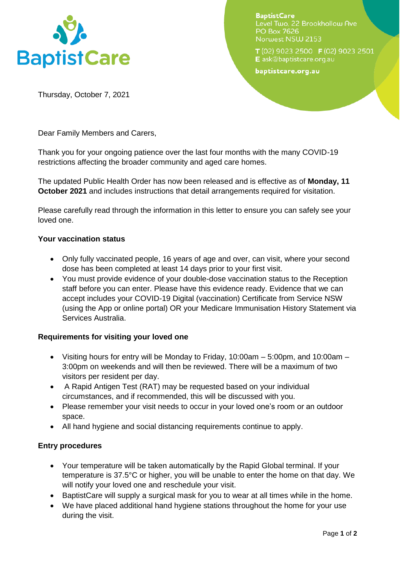

**BaptistCare** Level Two, 22 Brookhollow Ave PO Box 7626 Norwest NSW 2153

T (02) 9023 2500 F (02) 9023 2501 E ask@baptistcare.org.au

baptistcare.org.au

Thursday, October 7, 2021

Dear Family Members and Carers,

Thank you for your ongoing patience over the last four months with the many COVID-19 restrictions affecting the broader community and aged care homes.

The updated Public Health Order has now been released and is effective as of **Monday, 11 October 2021** and includes instructions that detail arrangements required for visitation.

Please carefully read through the information in this letter to ensure you can safely see your loved one.

## **Your vaccination status**

- Only fully vaccinated people, 16 years of age and over, can visit, where your second dose has been completed at least 14 days prior to your first visit.
- You must provide evidence of your double-dose vaccination status to the Reception staff before you can enter. Please have this evidence ready. Evidence that we can accept includes your COVID-19 Digital (vaccination) Certificate from Service NSW (using the App or online portal) OR your Medicare Immunisation History Statement via Services Australia.

# **Requirements for visiting your loved one**

- Visiting hours for entry will be Monday to Friday, 10:00am 5:00pm, and 10:00am 3:00pm on weekends and will then be reviewed. There will be a maximum of two visitors per resident per day.
- A Rapid Antigen Test (RAT) may be requested based on your individual circumstances, and if recommended, this will be discussed with you.
- Please remember your visit needs to occur in your loved one's room or an outdoor space.
- All hand hygiene and social distancing requirements continue to apply.

# **Entry procedures**

- Your temperature will be taken automatically by the Rapid Global terminal. If your temperature is 37.5°C or higher, you will be unable to enter the home on that day. We will notify your loved one and reschedule your visit.
- BaptistCare will supply a surgical mask for you to wear at all times while in the home.
- We have placed additional hand hygiene stations throughout the home for your use during the visit.